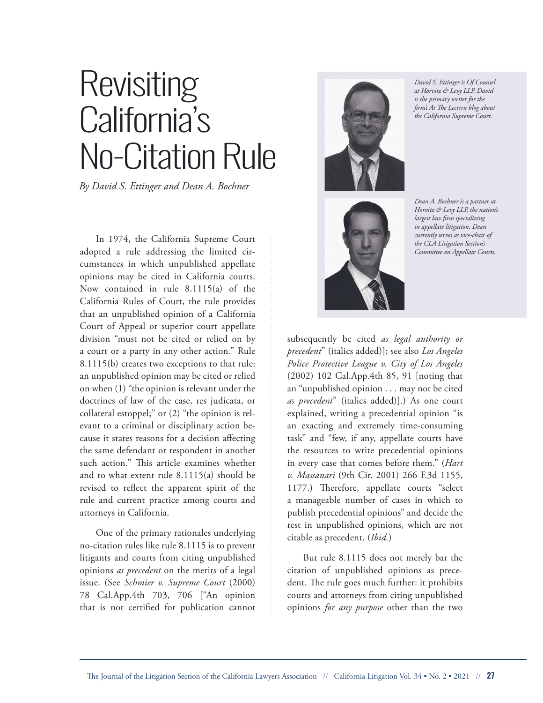## Revisiting California's No-Citation Rule

*By David S. Ettinger and Dean A. Bochner*

In 1974, the California Supreme Court adopted a rule addressing the limited circumstances in which unpublished appellate opinions may be cited in California courts. Now contained in rule 8.1115(a) of the California Rules of Court, the rule provides that an unpublished opinion of a California Court of Appeal or superior court appellate division "must not be cited or relied on by a court or a party in any other action." Rule 8.1115(b) creates two exceptions to that rule: an unpublished opinion may be cited or relied on when (1) "the opinion is relevant under the doctrines of law of the case, res judicata, or collateral estoppel;" or (2) "the opinion is relevant to a criminal or disciplinary action because it states reasons for a decision affecting the same defendant or respondent in another such action." This article examines whether and to what extent rule 8.1115(a) should be revised to reflect the apparent spirit of the rule and current practice among courts and attorneys in California.

One of the primary rationales underlying no-citation rules like rule 8.1115 is to prevent litigants and courts from citing unpublished opinions *as precedent* on the merits of a legal issue. (See *Schmier v. Supreme Court* (2000) 78 Cal.App.4th 703, 706 ["An opinion that is not certified for publication cannot



*David S. Ettinger is Of Counsel at Horvitz & Levy LLP. David is the primary writer for the firm's At The Lectern blog about the California Supreme Court.*



*Dean A. Bochner is a partner at Horvitz & Levy LLP, the nation's largest law firm specializing in appellate litigation. Dean currently serves as vice-chair of the CLA Litigation Section's Committee on Appellate Courts.*

subsequently be cited *as legal authority or precedent*" (italics added)]; see also *Los Angeles Police Protective League v. City of Los Angeles* (2002) 102 Cal.App.4th 85, 91 [noting that an "unpublished opinion . . . may not be cited *as precedent*" (italics added)].) As one court explained, writing a precedential opinion "is an exacting and extremely time-consuming task" and "few, if any, appellate courts have the resources to write precedential opinions in every case that comes before them." (*Hart v. Massanari* (9th Cir. 2001) 266 F.3d 1155, 1177.) Therefore, appellate courts "select a manageable number of cases in which to publish precedential opinions" and decide the rest in unpublished opinions, which are not citable as precedent. (*Ibid.*)

But rule 8.1115 does not merely bar the citation of unpublished opinions as precedent. The rule goes much further: it prohibits courts and attorneys from citing unpublished opinions *for any purpose* other than the two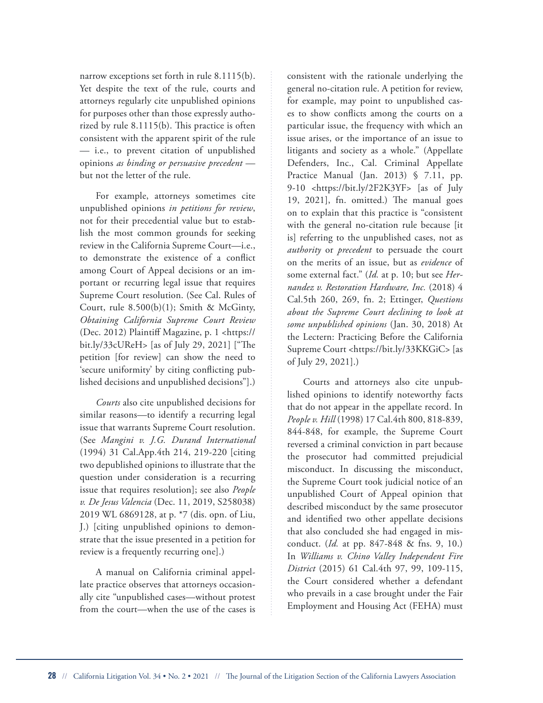narrow exceptions set forth in rule 8.1115(b). Yet despite the text of the rule, courts and attorneys regularly cite unpublished opinions for purposes other than those expressly authorized by rule 8.1115(b). This practice is often consistent with the apparent spirit of the rule — i.e., to prevent citation of unpublished opinions *as binding or persuasive precedent*  but not the letter of the rule.

For example, attorneys sometimes cite unpublished opinions *in petitions for review*, not for their precedential value but to establish the most common grounds for seeking review in the California Supreme Court—i.e., to demonstrate the existence of a conflict among Court of Appeal decisions or an important or recurring legal issue that requires Supreme Court resolution. (See Cal. Rules of Court, rule  $8.500(b)(1)$ ; Smith & McGinty, *Obtaining California Supreme Court Review* (Dec. 2012) Plaintiff Magazine, p. 1 <https:// bit.ly/33cUReH> [as of July 29, 2021] ["The petition [for review] can show the need to 'secure uniformity' by citing conflicting published decisions and unpublished decisions"].)

*Courts* also cite unpublished decisions for similar reasons—to identify a recurring legal issue that warrants Supreme Court resolution. (See *Mangini v. J.G. Durand International* (1994) 31 Cal.App.4th 214, 219-220 [citing two depublished opinions to illustrate that the question under consideration is a recurring issue that requires resolution]; see also *People v. De Jesus Valencia* (Dec. 11, 2019, S258038) 2019 WL 6869128, at p. \*7 (dis. opn. of Liu, J.) [citing unpublished opinions to demonstrate that the issue presented in a petition for review is a frequently recurring one].)

A manual on California criminal appellate practice observes that attorneys occasionally cite "unpublished cases—without protest from the court—when the use of the cases is consistent with the rationale underlying the general no-citation rule. A petition for review, for example, may point to unpublished cases to show conflicts among the courts on a particular issue, the frequency with which an issue arises, or the importance of an issue to litigants and society as a whole." (Appellate Defenders, Inc., Cal. Criminal Appellate Practice Manual (Jan. 2013) § 7.11, pp. 9-10 <https://bit.ly/2F2K3YF> [as of July 19, 2021], fn. omitted.) The manual goes on to explain that this practice is "consistent with the general no-citation rule because [it is] referring to the unpublished cases, not as *authority* or *precedent* to persuade the court on the merits of an issue, but as *evidence* of some external fact." (*Id.* at p. 10; but see *Hernandez v. Restoration Hardware, Inc.* (2018) 4 Cal.5th 260, 269, fn. 2; Ettinger, *Questions about the Supreme Court declining to look at some unpublished opinions* (Jan. 30, 2018) At the Lectern: Practicing Before the California Supreme Court <https://bit.ly/33KKGiC> [as of July 29, 2021].)

Courts and attorneys also cite unpublished opinions to identify noteworthy facts that do not appear in the appellate record. In *People v. Hill* (1998) 17 Cal.4th 800, 818-839, 844-848, for example, the Supreme Court reversed a criminal conviction in part because the prosecutor had committed prejudicial misconduct. In discussing the misconduct, the Supreme Court took judicial notice of an unpublished Court of Appeal opinion that described misconduct by the same prosecutor and identified two other appellate decisions that also concluded she had engaged in misconduct. (*Id.* at pp. 847-848 & fns. 9, 10.) In *Williams v. Chino Valley Independent Fire District* (2015) 61 Cal.4th 97, 99, 109-115, the Court considered whether a defendant who prevails in a case brought under the Fair Employment and Housing Act (FEHA) must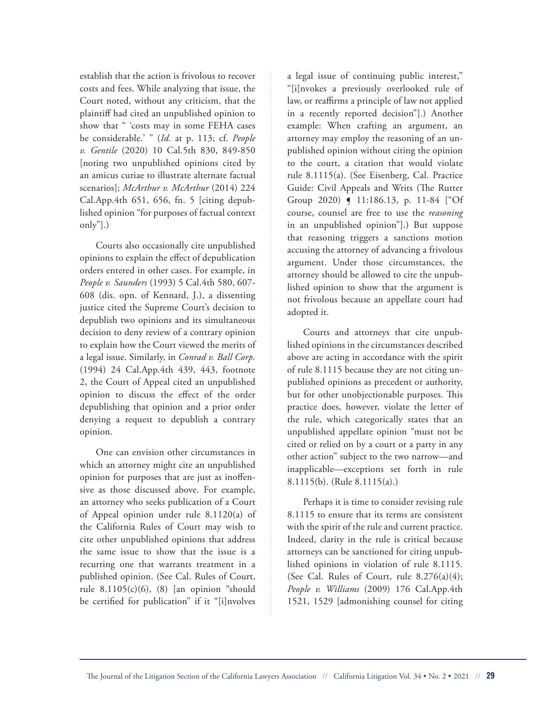establish that the action is frivolous to recover costs and fees. While analyzing that issue, the Court noted, without any criticism, that the plaintiff had cited an unpublished opinion to show that " 'costs may in some FEHA cases be considerable.' " (*Id.* at p. 113; cf. *People v. Gentile* (2020) 10 Cal.5th 830, 849-850 [noting two unpublished opinions cited by an amicus curiae to illustrate alternate factual scenarios]; *McArthur v. McArthur* (2014) 224 Cal.App.4th 651, 656, fn. 5 [citing depublished opinion "for purposes of factual context only"].)

Courts also occasionally cite unpublished opinions to explain the effect of depublication orders entered in other cases. For example, in *People v. Saunders* (1993) 5 Cal.4th 580, 607- 608 (dis. opn. of Kennard, J.), a dissenting justice cited the Supreme Court's decision to depublish two opinions and its simultaneous decision to deny review of a contrary opinion to explain how the Court viewed the merits of a legal issue. Similarly, in *Conrad v. Ball Corp.* (1994) 24 Cal.App.4th 439, 443, footnote 2, the Court of Appeal cited an unpublished opinion to discuss the effect of the order depublishing that opinion and a prior order denying a request to depublish a contrary opinion.

One can envision other circumstances in which an attorney might cite an unpublished opinion for purposes that are just as inoffensive as those discussed above. For example, an attorney who seeks publication of a Court of Appeal opinion under rule 8.1120(a) of the California Rules of Court may wish to cite other unpublished opinions that address the same issue to show that the issue is a recurring one that warrants treatment in a published opinion. (See Cal. Rules of Court, rule  $8.1105(c)(6)$ ,  $(8)$  [an opinion "should" be certified for publication" if it "[i]nvolves

a legal issue of continuing public interest," "[i]nvokes a previously overlooked rule of law, or reaffirms a principle of law not applied in a recently reported decision"].) Another example: When crafting an argument, an attorney may employ the reasoning of an unpublished opinion without citing the opinion to the court, a citation that would violate rule 8.1115(a). (See Eisenberg, Cal. Practice Guide: Civil Appeals and Writs (The Rutter Group 2020) ¶ 11:186.13, p. 11-84 ["Of course, counsel are free to use the *reasoning* in an unpublished opinion"].) But suppose that reasoning triggers a sanctions motion accusing the attorney of advancing a frivolous argument. Under those circumstances, the attorney should be allowed to cite the unpublished opinion to show that the argument is not frivolous because an appellate court had adopted it.

Courts and attorneys that cite unpublished opinions in the circumstances described above are acting in accordance with the spirit of rule 8.1115 because they are not citing unpublished opinions as precedent or authority, but for other unobjectionable purposes. This practice does, however, violate the letter of the rule, which categorically states that an unpublished appellate opinion "must not be cited or relied on by a court or a party in any other action" subject to the two narrow—and inapplicable—exceptions set forth in rule 8.1115(b). (Rule 8.1115(a).)

Perhaps it is time to consider revising rule 8.1115 to ensure that its terms are consistent with the spirit of the rule and current practice. Indeed, clarity in the rule is critical because attorneys can be sanctioned for citing unpublished opinions in violation of rule 8.1115. (See Cal. Rules of Court, rule  $8.276(a)(4)$ ; *People v. Williams* (2009) 176 Cal.App.4th 1521, 1529 [admonishing counsel for citing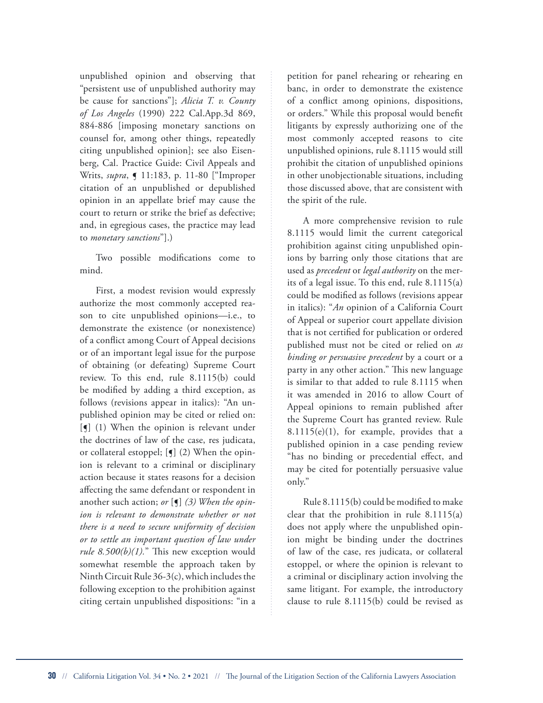unpublished opinion and observing that "persistent use of unpublished authority may be cause for sanctions"]; *Alicia T. v. County of Los Angeles* (1990) 222 Cal.App.3d 869, 884-886 [imposing monetary sanctions on counsel for, among other things, repeatedly citing unpublished opinion]; see also Eisenberg, Cal. Practice Guide: Civil Appeals and Writs, *supra*, ¶ 11:183, p. 11-80 ["Improper citation of an unpublished or depublished opinion in an appellate brief may cause the court to return or strike the brief as defective; and, in egregious cases, the practice may lead to *monetary sanctions*"].)

Two possible modifications come to mind.

First, a modest revision would expressly authorize the most commonly accepted reason to cite unpublished opinions—i.e., to demonstrate the existence (or nonexistence) of a conflict among Court of Appeal decisions or of an important legal issue for the purpose of obtaining (or defeating) Supreme Court review. To this end, rule 8.1115(b) could be modified by adding a third exception, as follows (revisions appear in italics): "An unpublished opinion may be cited or relied on:  $\left[\int_0^{\infty}$  (1) When the opinion is relevant under the doctrines of law of the case, res judicata, or collateral estoppel; [¶] (2) When the opinion is relevant to a criminal or disciplinary action because it states reasons for a decision affecting the same defendant or respondent in another such action; *or* [¶] *(3) When the opinion is relevant to demonstrate whether or not there is a need to secure uniformity of decision or to settle an important question of law under rule 8.500(b)(1).*" This new exception would somewhat resemble the approach taken by Ninth Circuit Rule 36-3(c), which includes the following exception to the prohibition against citing certain unpublished dispositions: "in a

petition for panel rehearing or rehearing en banc, in order to demonstrate the existence of a conflict among opinions, dispositions, or orders." While this proposal would benefit litigants by expressly authorizing one of the most commonly accepted reasons to cite unpublished opinions, rule 8.1115 would still prohibit the citation of unpublished opinions in other unobjectionable situations, including those discussed above, that are consistent with the spirit of the rule.

A more comprehensive revision to rule 8.1115 would limit the current categorical prohibition against citing unpublished opinions by barring only those citations that are used as *precedent* or *legal authority* on the merits of a legal issue. To this end, rule 8.1115(a) could be modified as follows (revisions appear in italics): "*An* opinion of a California Court of Appeal or superior court appellate division that is not certified for publication or ordered published must not be cited or relied on *as binding or persuasive precedent* by a court or a party in any other action." This new language is similar to that added to rule 8.1115 when it was amended in 2016 to allow Court of Appeal opinions to remain published after the Supreme Court has granted review. Rule  $8.1115(e)(1)$ , for example, provides that a published opinion in a case pending review "has no binding or precedential effect, and may be cited for potentially persuasive value only."

Rule 8.1115(b) could be modified to make clear that the prohibition in rule 8.1115(a) does not apply where the unpublished opinion might be binding under the doctrines of law of the case, res judicata, or collateral estoppel, or where the opinion is relevant to a criminal or disciplinary action involving the same litigant. For example, the introductory clause to rule 8.1115(b) could be revised as